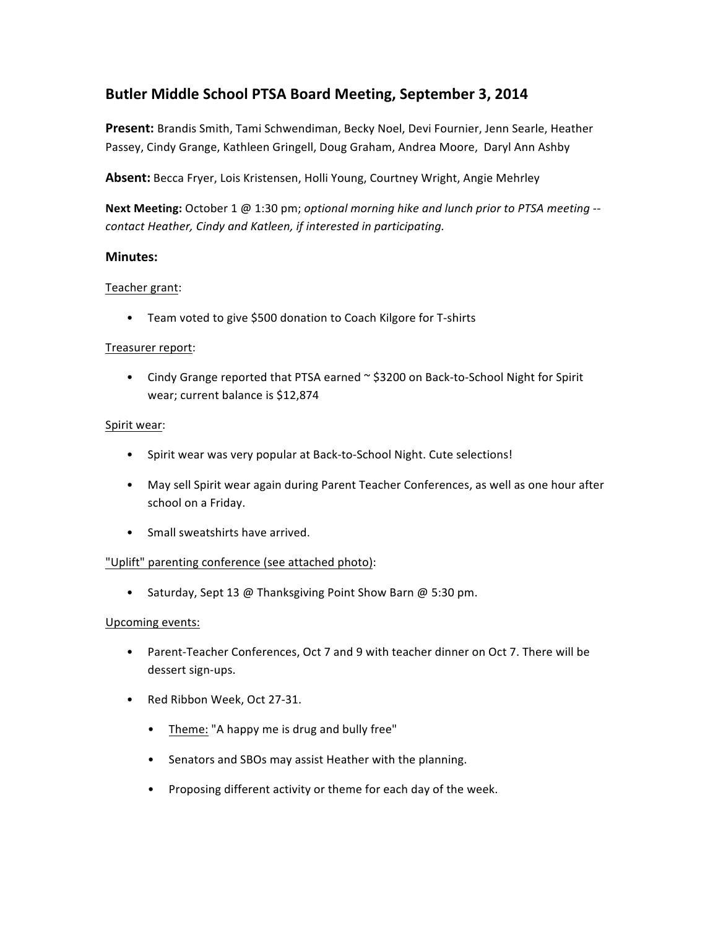# **Butler Middle School PTSA Board Meeting, September 3, 2014**

Present: Brandis Smith, Tami Schwendiman, Becky Noel, Devi Fournier, Jenn Searle, Heather Passey, Cindy Grange, Kathleen Gringell, Doug Graham, Andrea Moore, Daryl Ann Ashby

Absent: Becca Fryer, Lois Kristensen, Holli Young, Courtney Wright, Angie Mehrley

**Next Meeting:** October 1 @ 1:30 pm; *optional morning hike and lunch prior to PTSA meeting* -*contact Heather, Cindy and Katleen, if interested in participating.*

# **Minutes:**

# Teacher grant:

• Team voted to give \$500 donation to Coach Kilgore for T-shirts

### Treasurer report:

• Cindy Grange reported that PTSA earned  $\sim$  \$3200 on Back-to-School Night for Spirit wear; current balance is \$12,874

### Spirit wear:

- Spirit wear was very popular at Back-to-School Night. Cute selections!
- May sell Spirit wear again during Parent Teacher Conferences, as well as one hour after school on a Friday.
- Small sweatshirts have arrived.

# "Uplift" parenting conference (see attached photo):

• Saturday, Sept 13 @ Thanksgiving Point Show Barn @ 5:30 pm.

# Upcoming events:

- Parent-Teacher Conferences, Oct 7 and 9 with teacher dinner on Oct 7. There will be dessert sign-ups.
- Red Ribbon Week, Oct 27-31.
	- Theme: "A happy me is drug and bully free"
	- Senators and SBOs may assist Heather with the planning.
	- Proposing different activity or theme for each day of the week.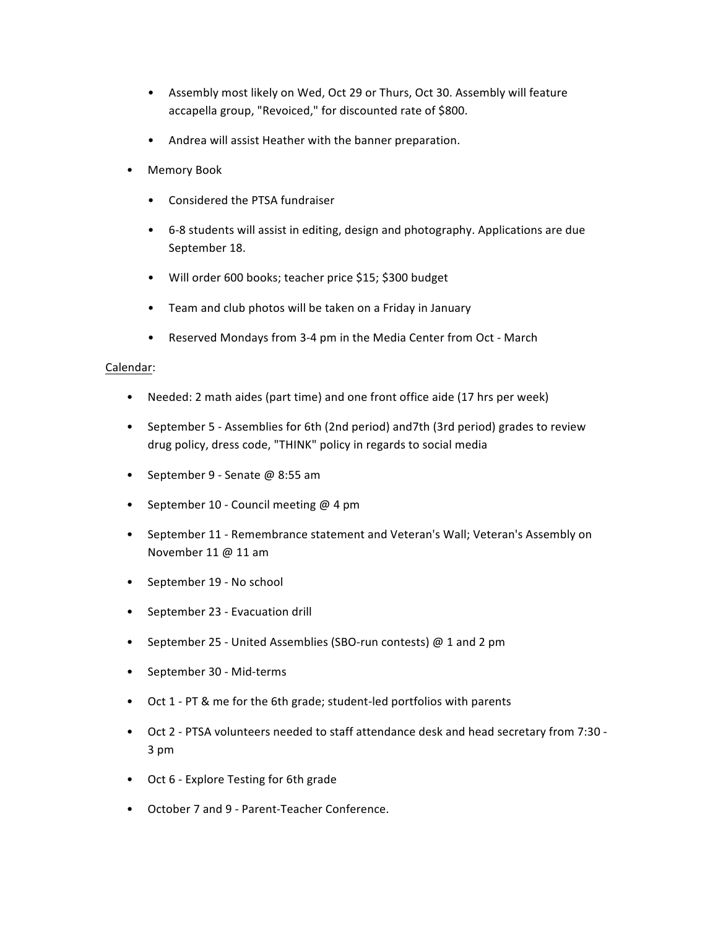- Assembly most likely on Wed, Oct 29 or Thurs, Oct 30. Assembly will feature accapella group, "Revoiced," for discounted rate of \$800.
- Andrea will assist Heather with the banner preparation.
- Memory Book
	- Considered the PTSA fundraiser
	- 6-8 students will assist in editing, design and photography. Applications are due September 18.
	- Will order 600 books; teacher price \$15; \$300 budget
	- Team and club photos will be taken on a Friday in January
	- Reserved Mondays from 3-4 pm in the Media Center from Oct March

# Calendar:

- Needed: 2 math aides (part time) and one front office aide (17 hrs per week)
- September 5 Assemblies for 6th (2nd period) and7th (3rd period) grades to review drug policy, dress code, "THINK" policy in regards to social media
- September 9 Senate  $@$  8:55 am
- September 10 Council meeting @ 4 pm
- September 11 Remembrance statement and Veteran's Wall; Veteran's Assembly on November 11 @ 11 am
- September 19 No school
- September 23 Evacuation drill
- September 25 United Assemblies (SBO-run contests) @ 1 and 2 pm
- September 30 Mid-terms
- Oct 1 PT & me for the 6th grade; student-led portfolios with parents
- Oct 2 PTSA volunteers needed to staff attendance desk and head secretary from 7:30 -3 pm
- Oct 6 Explore Testing for 6th grade
- October 7 and 9 Parent-Teacher Conference.